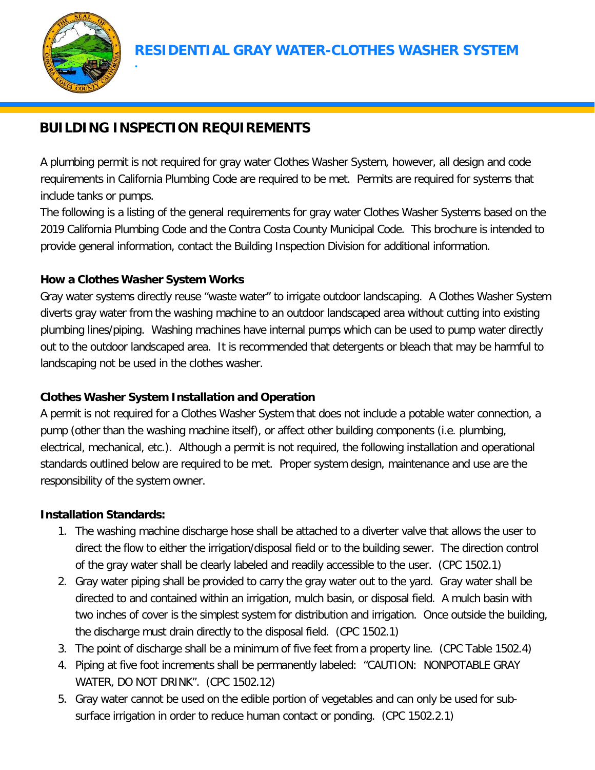

# **BUILDING INSPECTION REQUIREMENTS**

A plumbing permit is not required for gray water Clothes Washer System, however, all design and code requirements in California Plumbing Code are required to be met. Permits are required for systems that include tanks or pumps.

The following is a listing of the general requirements for gray water Clothes Washer Systems based on the 2019 California Plumbing Code and the Contra Costa County Municipal Code. This brochure is intended to provide general information, contact the Building Inspection Division for additional information.

## **How a Clothes Washer System Works**

**.**

Gray water systems directly reuse "waste water" to irrigate outdoor landscaping. A Clothes Washer System diverts gray water from the washing machine to an outdoor landscaped area without cutting into existing plumbing lines/piping. Washing machines have internal pumps which can be used to pump water directly out to the outdoor landscaped area. It is recommended that detergents or bleach that may be harmful to landscaping not be used in the clothes washer.

# **Clothes Washer System Installation and Operation**

A permit is not required for a Clothes Washer System that does not include a potable water connection, a pump (other than the washing machine itself), or affect other building components (i.e. plumbing, electrical, mechanical, etc.). Although a permit is not required, the following installation and operational standards outlined below are required to be met. Proper system design, maintenance and use are the responsibility of the system owner.

#### **Installation Standards:**

- 1. The washing machine discharge hose shall be attached to a diverter valve that allows the user to direct the flow to either the irrigation/disposal field or to the building sewer. The direction control of the gray water shall be clearly labeled and readily accessible to the user. (CPC 1502.1)
- 2. Gray water piping shall be provided to carry the gray water out to the yard. Gray water shall be directed to and contained within an irrigation, mulch basin, or disposal field. A mulch basin with two inches of cover is the simplest system for distribution and irrigation. Once outside the building, the discharge must drain directly to the disposal field. (CPC 1502.1)
- 3. The point of discharge shall be a minimum of five feet from a property line. (CPC Table 1502.4)
- 4. Piping at five foot increments shall be permanently labeled: "CAUTION: NONPOTABLE GRAY WATER, DO NOT DRINK". (CPC 1502.12)
- 5. Gray water cannot be used on the edible portion of vegetables and can only be used for subsurface irrigation in order to reduce human contact or ponding. (CPC 1502.2.1)